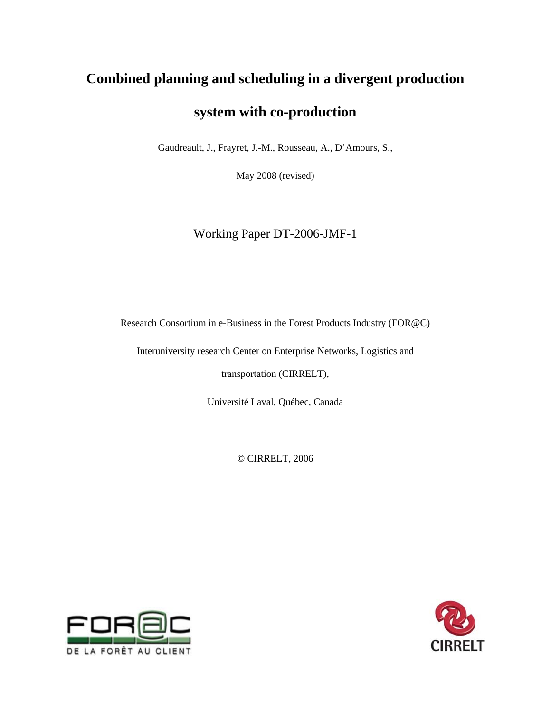# **Combined planning and scheduling in a divergent production**

## **system with co-production**

Gaudreault, J., Frayret, J.-M., Rousseau, A., D'Amours, S.,

May 2008 (revised)

Working Paper DT-2006-JMF-1

Research Consortium in e-Business in the Forest Products Industry (FOR@C)

Interuniversity research Center on Enterprise Networks, Logistics and

transportation (CIRRELT),

Université Laval, Québec, Canada

© CIRRELT, 2006



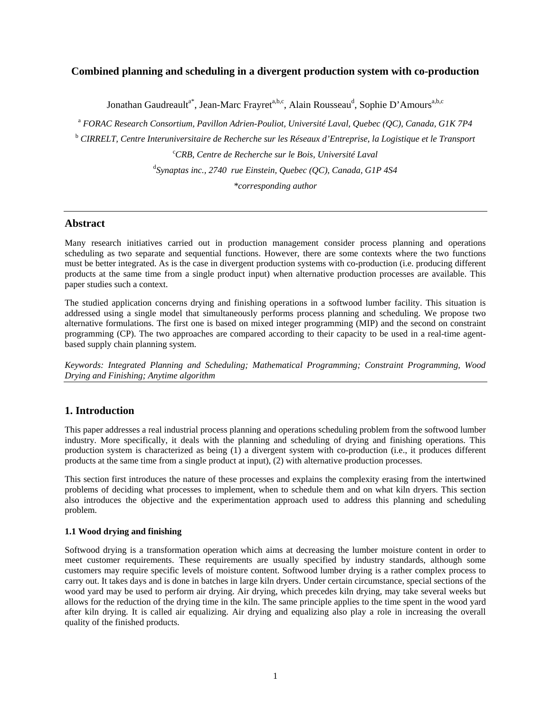## **Combined planning and scheduling in a divergent production system with co-production**

Jonathan Gaudreault<sup>a\*</sup>, Jean-Marc Frayret<sup>a,b,c</sup>, Alain Rousseau<sup>d</sup>, Sophie D'Amours<sup>a,b,c</sup>

<sup>a</sup> FORAC Research Consortium, Pavillon Adrien-Pouliot, Université Laval, Quebec (QC), Canada, G1K 7P4

<sup>b</sup> CIRRELT, Centre Interuniversitaire de Recherche sur les Réseaux d'Entreprise, la Logistique et le Transport

c *CRB, Centre de Recherche sur le Bois, Université Laval* 

d *Synaptas inc., 2740 rue Einstein, Quebec (QC), Canada, G1P 4S4* 

*\*corresponding author* 

## **Abstract**

Many research initiatives carried out in production management consider process planning and operations scheduling as two separate and sequential functions. However, there are some contexts where the two functions must be better integrated. As is the case in divergent production systems with co-production (i.e. producing different products at the same time from a single product input) when alternative production processes are available. This paper studies such a context.

The studied application concerns drying and finishing operations in a softwood lumber facility. This situation is addressed using a single model that simultaneously performs process planning and scheduling. We propose two alternative formulations. The first one is based on mixed integer programming (MIP) and the second on constraint programming (CP). The two approaches are compared according to their capacity to be used in a real-time agentbased supply chain planning system.

*Keywords: Integrated Planning and Scheduling; Mathematical Programming; Constraint Programming, Wood Drying and Finishing; Anytime algorithm* 

## **1. Introduction**

This paper addresses a real industrial process planning and operations scheduling problem from the softwood lumber industry. More specifically, it deals with the planning and scheduling of drying and finishing operations. This production system is characterized as being (1) a divergent system with co-production (i.e., it produces different products at the same time from a single product at input), (2) with alternative production processes.

This section first introduces the nature of these processes and explains the complexity erasing from the intertwined problems of deciding what processes to implement, when to schedule them and on what kiln dryers. This section also introduces the objective and the experimentation approach used to address this planning and scheduling problem.

## **1.1 Wood drying and finishing**

Softwood drying is a transformation operation which aims at decreasing the lumber moisture content in order to meet customer requirements. These requirements are usually specified by industry standards, although some customers may require specific levels of moisture content. Softwood lumber drying is a rather complex process to carry out. It takes days and is done in batches in large kiln dryers. Under certain circumstance, special sections of the wood yard may be used to perform air drying. Air drying, which precedes kiln drying, may take several weeks but allows for the reduction of the drying time in the kiln. The same principle applies to the time spent in the wood yard after kiln drying. It is called air equalizing. Air drying and equalizing also play a role in increasing the overall quality of the finished products.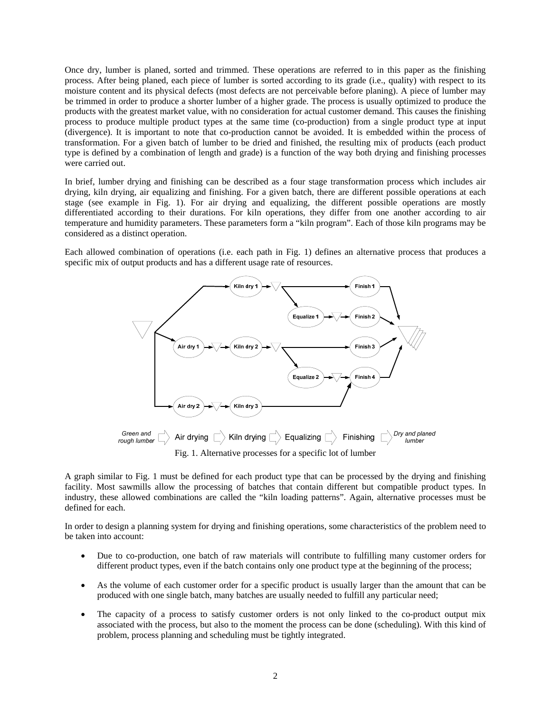Once dry, lumber is planed, sorted and trimmed. These operations are referred to in this paper as the finishing process. After being planed, each piece of lumber is sorted according to its grade (i.e., quality) with respect to its moisture content and its physical defects (most defects are not perceivable before planing). A piece of lumber may be trimmed in order to produce a shorter lumber of a higher grade. The process is usually optimized to produce the products with the greatest market value, with no consideration for actual customer demand. This causes the finishing process to produce multiple product types at the same time (co-production) from a single product type at input (divergence). It is important to note that co-production cannot be avoided. It is embedded within the process of transformation. For a given batch of lumber to be dried and finished, the resulting mix of products (each product type is defined by a combination of length and grade) is a function of the way both drying and finishing processes were carried out.

In brief, lumber drying and finishing can be described as a four stage transformation process which includes air drying, kiln drying, air equalizing and finishing. For a given batch, there are different possible operations at each stage (see example in Fig. 1). For air drying and equalizing, the different possible operations are mostly differentiated according to their durations. For kiln operations, they differ from one another according to air temperature and humidity parameters. These parameters form a "kiln program". Each of those kiln programs may be considered as a distinct operation.

Each allowed combination of operations (i.e. each path in Fig. 1) defines an alternative process that produces a specific mix of output products and has a different usage rate of resources.



A graph similar to Fig. 1 must be defined for each product type that can be processed by the drying and finishing facility. Most sawmills allow the processing of batches that contain different but compatible product types. In industry, these allowed combinations are called the "kiln loading patterns". Again, alternative processes must be defined for each.

In order to design a planning system for drying and finishing operations, some characteristics of the problem need to be taken into account:

- Due to co-production, one batch of raw materials will contribute to fulfilling many customer orders for different product types, even if the batch contains only one product type at the beginning of the process;
- As the volume of each customer order for a specific product is usually larger than the amount that can be produced with one single batch, many batches are usually needed to fulfill any particular need;
- The capacity of a process to satisfy customer orders is not only linked to the co-product output mix associated with the process, but also to the moment the process can be done (scheduling). With this kind of problem, process planning and scheduling must be tightly integrated.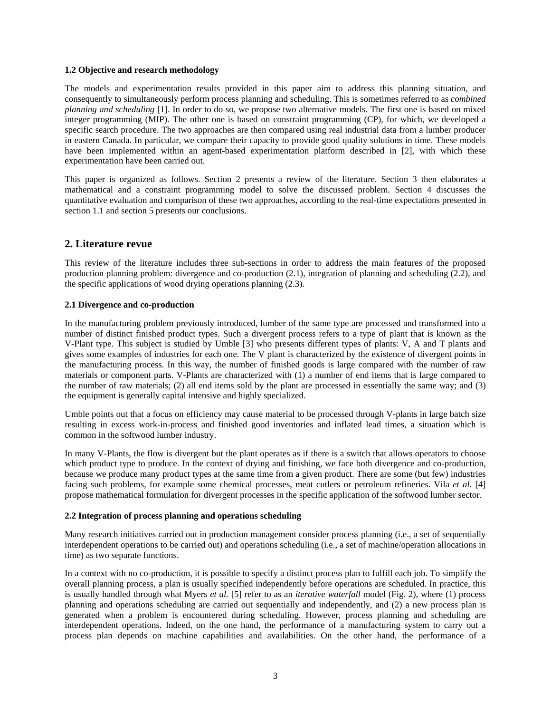## **1.2 Objective and research methodology**

The models and experimentation results provided in this paper aim to address this planning situation, and consequently to simultaneously perform process planning and scheduling. This is sometimes referred to as *combined planning and scheduling* [1]. In order to do so, we propose two alternative models. The first one is based on mixed integer programming (MIP). The other one is based on constraint programming (CP), for which, we developed a specific search procedure. The two approaches are then compared using real industrial data from a lumber producer in eastern Canada. In particular, we compare their capacity to provide good quality solutions in time. These models have been implemented within an agent-based experimentation platform described in [2], with which these experimentation have been carried out.

This paper is organized as follows. Section 2 presents a review of the literature. Section 3 then elaborates a mathematical and a constraint programming model to solve the discussed problem. Section 4 discusses the quantitative evaluation and comparison of these two approaches, according to the real-time expectations presented in section 1.1 and section 5 presents our conclusions.

## **2. Literature revue**

This review of the literature includes three sub-sections in order to address the main features of the proposed production planning problem: divergence and co-production (2.1), integration of planning and scheduling (2.2), and the specific applications of wood drying operations planning (2.3).

## **2.1 Divergence and co-production**

In the manufacturing problem previously introduced, lumber of the same type are processed and transformed into a number of distinct finished product types. Such a divergent process refers to a type of plant that is known as the V-Plant type. This subject is studied by Umble [3] who presents different types of plants: V, A and T plants and gives some examples of industries for each one. The V plant is characterized by the existence of divergent points in the manufacturing process. In this way, the number of finished goods is large compared with the number of raw materials or component parts. V-Plants are characterized with (1) a number of end items that is large compared to the number of raw materials; (2) all end items sold by the plant are processed in essentially the same way; and (3) the equipment is generally capital intensive and highly specialized.

Umble points out that a focus on efficiency may cause material to be processed through V-plants in large batch size resulting in excess work-in-process and finished good inventories and inflated lead times, a situation which is common in the softwood lumber industry.

In many V-Plants, the flow is divergent but the plant operates as if there is a switch that allows operators to choose which product type to produce. In the context of drying and finishing, we face both divergence and co-production, because we produce many product types at the same time from a given product. There are some (but few) industries facing such problems, for example some chemical processes, meat cutlers or petroleum refineries. Vila *et al.* [4] propose mathematical formulation for divergent processes in the specific application of the softwood lumber sector.

## **2.2 Integration of process planning and operations scheduling**

Many research initiatives carried out in production management consider process planning (i.e., a set of sequentially interdependent operations to be carried out) and operations scheduling (i.e., a set of machine/operation allocations in time) as two separate functions.

In a context with no co-production, it is possible to specify a distinct process plan to fulfill each job. To simplify the overall planning process, a plan is usually specified independently before operations are scheduled. In practice, this is usually handled through what Myers *et al.* [5] refer to as an *iterative waterfall* model (Fig. 2), where (1) process planning and operations scheduling are carried out sequentially and independently, and (2) a new process plan is generated when a problem is encountered during scheduling. However, process planning and scheduling are interdependent operations. Indeed, on the one hand, the performance of a manufacturing system to carry out a process plan depends on machine capabilities and availabilities. On the other hand, the performance of a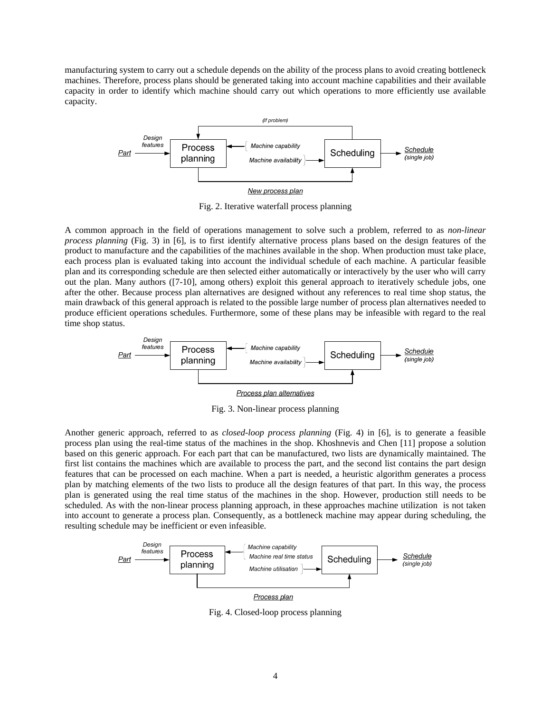manufacturing system to carry out a schedule depends on the ability of the process plans to avoid creating bottleneck machines. Therefore, process plans should be generated taking into account machine capabilities and their available capacity in order to identify which machine should carry out which operations to more efficiently use available capacity.



Fig. 2. Iterative waterfall process planning

A common approach in the field of operations management to solve such a problem, referred to as *non-linear process planning* (Fig. 3) in [6], is to first identify alternative process plans based on the design features of the product to manufacture and the capabilities of the machines available in the shop. When production must take place, each process plan is evaluated taking into account the individual schedule of each machine. A particular feasible plan and its corresponding schedule are then selected either automatically or interactively by the user who will carry out the plan. Many authors ([7-10], among others) exploit this general approach to iteratively schedule jobs, one after the other. Because process plan alternatives are designed without any references to real time shop status, the main drawback of this general approach is related to the possible large number of process plan alternatives needed to produce efficient operations schedules. Furthermore, some of these plans may be infeasible with regard to the real time shop status.



Fig. 3. Non-linear process planning

Another generic approach, referred to as *closed-loop process planning* (Fig. 4) in [6], is to generate a feasible process plan using the real-time status of the machines in the shop. Khoshnevis and Chen [11] propose a solution based on this generic approach. For each part that can be manufactured, two lists are dynamically maintained. The first list contains the machines which are available to process the part, and the second list contains the part design features that can be processed on each machine. When a part is needed, a heuristic algorithm generates a process plan by matching elements of the two lists to produce all the design features of that part. In this way, the process plan is generated using the real time status of the machines in the shop. However, production still needs to be scheduled. As with the non-linear process planning approach, in these approaches machine utilization is not taken into account to generate a process plan. Consequently, as a bottleneck machine may appear during scheduling, the resulting schedule may be inefficient or even infeasible.



Fig. 4. Closed-loop process planning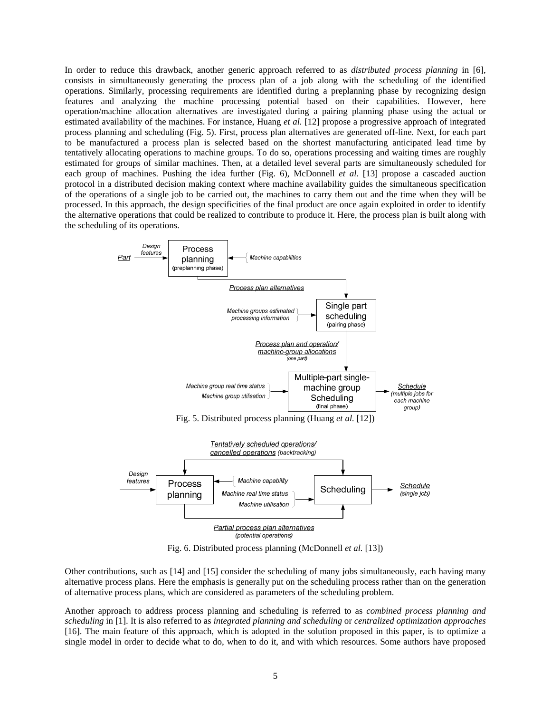In order to reduce this drawback, another generic approach referred to as *distributed process planning* in [6], consists in simultaneously generating the process plan of a job along with the scheduling of the identified operations. Similarly, processing requirements are identified during a preplanning phase by recognizing design features and analyzing the machine processing potential based on their capabilities. However, here operation/machine allocation alternatives are investigated during a pairing planning phase using the actual or estimated availability of the machines. For instance, Huang *et al.* [12] propose a progressive approach of integrated process planning and scheduling (Fig. 5). First, process plan alternatives are generated off-line. Next, for each part to be manufactured a process plan is selected based on the shortest manufacturing anticipated lead time by tentatively allocating operations to machine groups. To do so, operations processing and waiting times are roughly estimated for groups of similar machines. Then, at a detailed level several parts are simultaneously scheduled for each group of machines. Pushing the idea further (Fig. 6), McDonnell *et al.* [13] propose a cascaded auction protocol in a distributed decision making context where machine availability guides the simultaneous specification of the operations of a single job to be carried out, the machines to carry them out and the time when they will be processed. In this approach, the design specificities of the final product are once again exploited in order to identify the alternative operations that could be realized to contribute to produce it. Here, the process plan is built along with the scheduling of its operations.



Fig. 6. Distributed process planning (McDonnell *et al.* [13])

Other contributions, such as [14] and [15] consider the scheduling of many jobs simultaneously, each having many alternative process plans. Here the emphasis is generally put on the scheduling process rather than on the generation of alternative process plans, which are considered as parameters of the scheduling problem.

Another approach to address process planning and scheduling is referred to as *combined process planning and scheduling* in [1]. It is also referred to as *integrated planning and scheduling* or *centralized optimization approaches* [16]. The main feature of this approach, which is adopted in the solution proposed in this paper, is to optimize a single model in order to decide what to do, when to do it, and with which resources. Some authors have proposed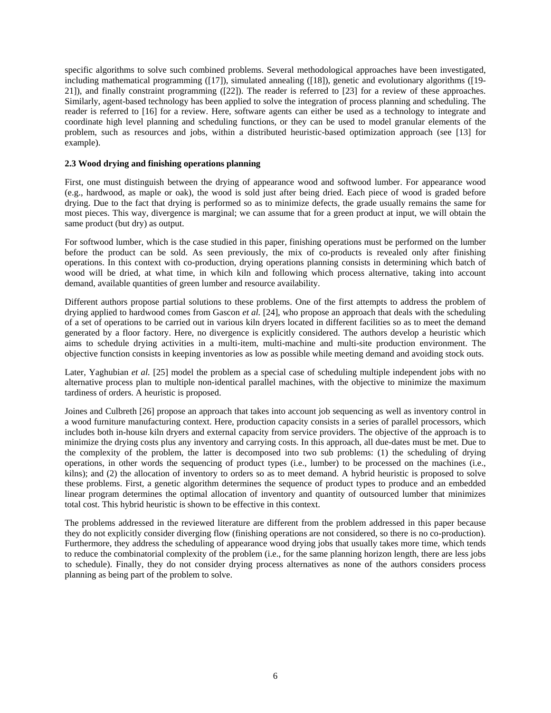specific algorithms to solve such combined problems. Several methodological approaches have been investigated, including mathematical programming ([17]), simulated annealing ([18]), genetic and evolutionary algorithms ([19- 21]), and finally constraint programming ([22]). The reader is referred to [23] for a review of these approaches. Similarly, agent-based technology has been applied to solve the integration of process planning and scheduling. The reader is referred to [16] for a review. Here, software agents can either be used as a technology to integrate and coordinate high level planning and scheduling functions, or they can be used to model granular elements of the problem, such as resources and jobs, within a distributed heuristic-based optimization approach (see [13] for example).

## **2.3 Wood drying and finishing operations planning**

First, one must distinguish between the drying of appearance wood and softwood lumber. For appearance wood (e.g., hardwood, as maple or oak), the wood is sold just after being dried. Each piece of wood is graded before drying. Due to the fact that drying is performed so as to minimize defects, the grade usually remains the same for most pieces. This way, divergence is marginal; we can assume that for a green product at input, we will obtain the same product (but dry) as output.

For softwood lumber, which is the case studied in this paper, finishing operations must be performed on the lumber before the product can be sold. As seen previously, the mix of co-products is revealed only after finishing operations. In this context with co-production, drying operations planning consists in determining which batch of wood will be dried, at what time, in which kiln and following which process alternative, taking into account demand, available quantities of green lumber and resource availability.

Different authors propose partial solutions to these problems. One of the first attempts to address the problem of drying applied to hardwood comes from Gascon *et al.* [24], who propose an approach that deals with the scheduling of a set of operations to be carried out in various kiln dryers located in different facilities so as to meet the demand generated by a floor factory. Here, no divergence is explicitly considered. The authors develop a heuristic which aims to schedule drying activities in a multi-item, multi-machine and multi-site production environment. The objective function consists in keeping inventories as low as possible while meeting demand and avoiding stock outs.

Later, Yaghubian *et al.* [25] model the problem as a special case of scheduling multiple independent jobs with no alternative process plan to multiple non-identical parallel machines, with the objective to minimize the maximum tardiness of orders. A heuristic is proposed.

Joines and Culbreth [26] propose an approach that takes into account job sequencing as well as inventory control in a wood furniture manufacturing context. Here, production capacity consists in a series of parallel processors, which includes both in-house kiln dryers and external capacity from service providers. The objective of the approach is to minimize the drying costs plus any inventory and carrying costs. In this approach, all due-dates must be met. Due to the complexity of the problem, the latter is decomposed into two sub problems: (1) the scheduling of drying operations, in other words the sequencing of product types (i.e., lumber) to be processed on the machines (i.e., kilns); and (2) the allocation of inventory to orders so as to meet demand. A hybrid heuristic is proposed to solve these problems. First, a genetic algorithm determines the sequence of product types to produce and an embedded linear program determines the optimal allocation of inventory and quantity of outsourced lumber that minimizes total cost. This hybrid heuristic is shown to be effective in this context.

The problems addressed in the reviewed literature are different from the problem addressed in this paper because they do not explicitly consider diverging flow (finishing operations are not considered, so there is no co-production). Furthermore, they address the scheduling of appearance wood drying jobs that usually takes more time, which tends to reduce the combinatorial complexity of the problem (i.e., for the same planning horizon length, there are less jobs to schedule). Finally, they do not consider drying process alternatives as none of the authors considers process planning as being part of the problem to solve.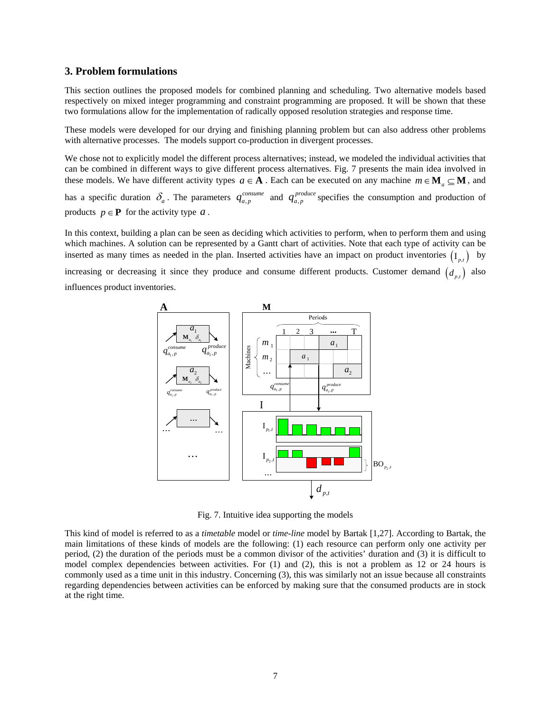## **3. Problem formulations**

This section outlines the proposed models for combined planning and scheduling. Two alternative models based respectively on mixed integer programming and constraint programming are proposed. It will be shown that these two formulations allow for the implementation of radically opposed resolution strategies and response time.

These models were developed for our drying and finishing planning problem but can also address other problems with alternative processes. The models support co-production in divergent processes.

We chose not to explicitly model the different process alternatives; instead, we modeled the individual activities that can be combined in different ways to give different process alternatives. Fig. 7 presents the main idea involved in these models. We have different activity types  $a \in \mathbf{A}$ . Each can be executed on any machine  $m \in \mathbf{M}$ ,  $\subseteq \mathbf{M}$ , and has a specific duration  $\delta_a$ . The parameters  $q_{a,p}^{consum}$  and  $q_{a,p}^{produce}$  specifies the consumption and production of products  $p \in \mathbf{P}$  for the activity type  $a$ .

In this context, building a plan can be seen as deciding which activities to perform, when to perform them and using which machines. A solution can be represented by a Gantt chart of activities. Note that each type of activity can be inserted as many times as needed in the plan. Inserted activities have an impact on product inventories  $(I_n)$  by

increasing or decreasing it since they produce and consume different products. Customer demand  $(d_{p,t})$  also influences product inventories.



Fig. 7. Intuitive idea supporting the models

This kind of model is referred to as a *timetable* model or *time-line* model by Bartak [1,27]. According to Bartak, the main limitations of these kinds of models are the following: (1) each resource can perform only one activity per period, (2) the duration of the periods must be a common divisor of the activities' duration and (3) it is difficult to model complex dependencies between activities. For (1) and (2), this is not a problem as 12 or 24 hours is commonly used as a time unit in this industry. Concerning (3), this was similarly not an issue because all constraints regarding dependencies between activities can be enforced by making sure that the consumed products are in stock at the right time.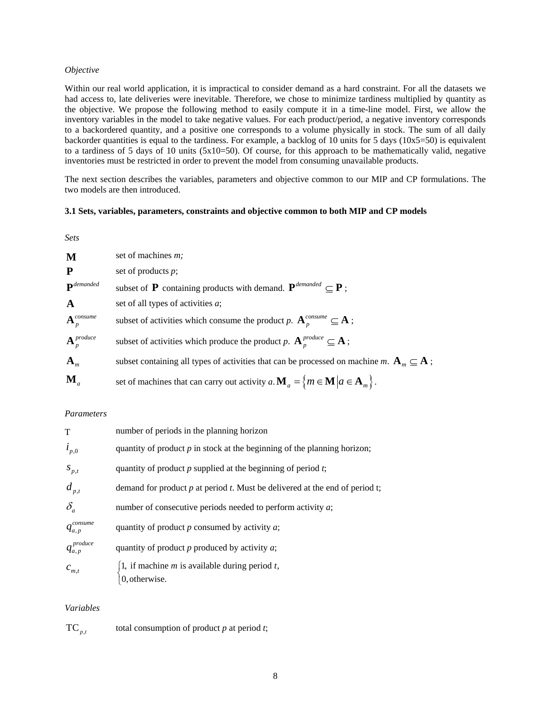## *Objective*

Within our real world application, it is impractical to consider demand as a hard constraint. For all the datasets we had access to, late deliveries were inevitable. Therefore, we chose to minimize tardiness multiplied by quantity as the objective. We propose the following method to easily compute it in a time-line model. First, we allow the inventory variables in the model to take negative values. For each product/period, a negative inventory corresponds to a backordered quantity, and a positive one corresponds to a volume physically in stock. The sum of all daily backorder quantities is equal to the tardiness. For example, a backlog of 10 units for 5 days ( $10x5=50$ ) is equivalent to a tardiness of 5 days of 10 units (5x10=50). Of course, for this approach to be mathematically valid, negative inventories must be restricted in order to prevent the model from consuming unavailable products.

The next section describes the variables, parameters and objective common to our MIP and CP formulations. The two models are then introduced.

## **3.1 Sets, variables, parameters, constraints and objective common to both MIP and CP models**

| M                          | set of machines <i>m</i> ;                                                                                            |
|----------------------------|-----------------------------------------------------------------------------------------------------------------------|
| $\mathbf{P}$               | set of products $p$ ;                                                                                                 |
| $\mathbf{P}^{demanded}$    | subset of <b>P</b> containing products with demand. $\mathbf{P}^{demanded} \subset \mathbf{P}$ ;                      |
| $\mathbf{A}$               | set of all types of activities a;                                                                                     |
| $\mathbf{A}_p^{consum}$    | subset of activities which consume the product p. $\mathbf{A}_{n}^{consum} \subseteq \mathbf{A}$ ;                    |
| $\mathbf{A}^{produce}_{p}$ | subset of activities which produce the product p. $A_n^{produce} \subseteq A$ ;                                       |
| ${\bf A}_m$                | subset containing all types of activities that can be processed on machine m. $\mathbf{A}_{m} \subseteq \mathbf{A}$ ; |
| $\mathbf{M}_a$             | set of machines that can carry out activity $a.\mathbf{M}_a = \{m \in \mathbf{M}   a \in \mathbf{A}_m\}$ .            |

#### *Parameters*

| T                   | number of periods in the planning horizon                                        |
|---------------------|----------------------------------------------------------------------------------|
| $i_{p,0}$           | quantity of product $p$ in stock at the beginning of the planning horizon;       |
| $S_{p,t}$           | quantity of product $p$ supplied at the beginning of period $t$ ;                |
| $d_{p,t}$           | demand for product $p$ at period $t$ . Must be delivered at the end of period t; |
| $\delta_a$          | number of consecutive periods needed to perform activity $a$ ;                   |
| $q_{a,p}^{consum}$  | quantity of product $p$ consumed by activity $a$ ;                               |
| $q_{a,p}^{produce}$ | quantity of product $p$ produced by activity $a$ ;                               |
| $c_{m,t}$           | 1, if machine <i>m</i> is available during period <i>t</i> ,<br>0, otherwise.    |

## *Variables*

TC $_{p,t}$  total consumption of product *p* at period *t*;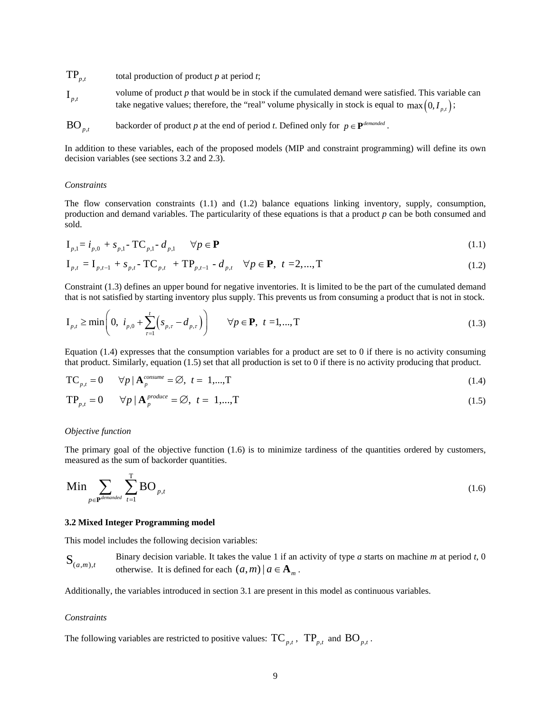$TP_{p,t}$  total production of product *p* at period *t*;  $I_{p,t}$  volume of product *p* that would be in stock if the cumulated demand were satisfied. This variable can take negative values; therefore, the "real" volume physically in stock is equal to  $\max(0, I_{p,t})$ ;

BO<sub>pt</sub> backorder of product *p* at the end of period *t*. Defined only for  $p \in \mathbf{P}^{demanded}$ .

In addition to these variables, each of the proposed models (MIP and constraint programming) will define its own decision variables (see sections 3.2 and 2.3).

#### *Constraints*

The flow conservation constraints (1.1) and (1.2) balance equations linking inventory, supply, consumption, production and demand variables. The particularity of these equations is that a product *p* can be both consumed and sold.

$$
I_{p,1} = i_{p,0} + s_{p,1} - TC_{p,1} - d_{p,1} \qquad \forall p \in \mathbf{P}
$$
\n(1.1)

$$
\mathbf{I}_{p,t} = \mathbf{I}_{p,t-1} + s_{p,t} - \mathbf{TC}_{p,t} + \mathbf{TP}_{p,t-1} - d_{p,t} \quad \forall p \in \mathbf{P}, \ t = 2,...,T
$$
\n(1.2)

Constraint (1.3) defines an upper bound for negative inventories. It is limited to be the part of the cumulated demand that is not satisfied by starting inventory plus supply*.* This prevents us from consuming a product that is not in stock.

$$
I_{p,t} \ge \min\left(0, \ i_{p,0} + \sum_{\tau=1}^{t} \left(s_{p,\tau} - d_{p,\tau}\right)\right) \qquad \forall p \in \mathbf{P}, \ t = 1,...,T
$$
\n(1.3)

Equation  $(1.4)$  expresses that the consumption variables for a product are set to 0 if there is no activity consuming that product. Similarly, equation (1.5) set that all production is set to 0 if there is no activity producing that product.

$$
TC_{p,t} = 0 \qquad \forall p \mid \mathbf{A}_p^{\text{consume}} = \emptyset, \ t = 1,...,T \tag{1.4}
$$

$$
TP_{p,t} = 0 \qquad \forall p \mid \mathbf{A}_p^{\text{produce}} = \varnothing, \ t = 1,...,T \tag{1.5}
$$

#### *Objective function*

The primary goal of the objective function (1.6) is to minimize tardiness of the quantities ordered by customers, measured as the sum of backorder quantities.

$$
\text{Min} \sum_{p \in \mathbf{P}^{demanded}} \sum_{t=1}^{T} \text{BO}_{p,t} \tag{1.6}
$$

#### **3.2 Mixed Integer Programming model**

This model includes the following decision variables:

 $S_{(a,m), t}$ Binary decision variable. It takes the value 1 if an activity of type *a* starts on machine *m* at period *t*, 0 otherwise. It is defined for each  $(a, m) | a \in \mathbf{A}_m$ .

Additionally, the variables introduced in section 3.1 are present in this model as continuous variables.

#### *Constraints*

The following variables are restricted to positive values:  $TC_{p,t}$ ,  $TP_{p,t}$  and  $BO_{p,t}$ .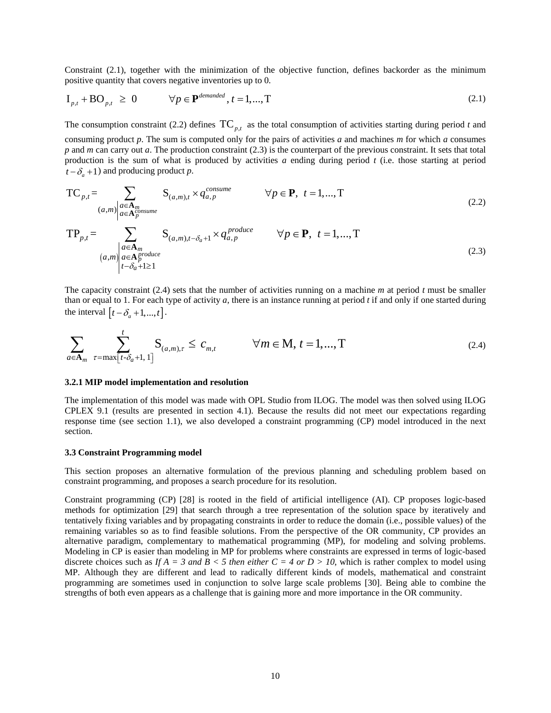Constraint (2.1), together with the minimization of the objective function, defines backorder as the minimum positive quantity that covers negative inventories up to 0.

$$
\mathbf{I}_{p,t} + \mathbf{BO}_{p,t} \ge 0 \qquad \forall p \in \mathbf{P}^{demanded}, t = 1,...,T
$$
\n(2.1)

The consumption constraint (2.2) defines  $TC_{p,t}$  as the total consumption of activities starting during period *t* and consuming product *p*. The sum is computed only for the pairs of activities *a* and machines *m* for which *a* consumes *p* and *m* can carry out *a*. The production constraint (2.3) is the counterpart of the previous constraint. It sets that total production is the sum of what is produced by activities *a* ending during period *t* (i.e. those starting at period  $t - \delta_a + 1$ ) and producing product *p*.

$$
TC_{p,t} = \sum_{\substack{(a,m) \mid a \in A_m \\ a \in A_p^{op} \\ (a,m) \mid a \in A_p^{prod} \\ t - \delta_a + 1 \ge 1}} S_{(a,m),t} \times q_{a,p}^{cosume} \qquad \forall p \in \mathbf{P}, \ t = 1,...,T
$$
\n
$$
(2.2)
$$
\n
$$
TP_{p,t} = \sum_{\substack{(a,m) \mid a \in A_m \\ (a,m) \mid a \in A_p^{prod} \\ (1-\delta_a + 1 \ge 1)}} S_{(a,m),t - \delta_a + 1} \times q_{a,p}^{produce} \qquad \forall p \in \mathbf{P}, \ t = 1,...,T
$$
\n
$$
(2.3)
$$

The capacity constraint (2.4) sets that the number of activities running on a machine *m* at period *t* must be smaller than or equal to 1. For each type of activity  $a$ , there is an instance running at period  $t$  if and only if one started during the interval  $[t - \delta_a + 1, ..., t]$ .

$$
\sum_{a \in \mathbf{A}_m} \sum_{\tau = \max[t - \delta_a + 1, 1]}^{t} \mathbf{S}_{(a, m), \tau} \le c_{m, t} \qquad \forall m \in \mathbf{M}, t = 1, ..., T
$$
\n(2.4)

#### **3.2.1 MIP model implementation and resolution**

The implementation of this model was made with OPL Studio from ILOG. The model was then solved using ILOG CPLEX 9.1 (results are presented in section 4.1). Because the results did not meet our expectations regarding response time (see section 1.1), we also developed a constraint programming (CP) model introduced in the next section.

#### **3.3 Constraint Programming model**

This section proposes an alternative formulation of the previous planning and scheduling problem based on constraint programming, and proposes a search procedure for its resolution.

Constraint programming (CP) [28] is rooted in the field of artificial intelligence (AI). CP proposes logic-based methods for optimization [29] that search through a tree representation of the solution space by iteratively and tentatively fixing variables and by propagating constraints in order to reduce the domain (i.e., possible values) of the remaining variables so as to find feasible solutions. From the perspective of the OR community, CP provides an alternative paradigm, complementary to mathematical programming (MP), for modeling and solving problems. Modeling in CP is easier than modeling in MP for problems where constraints are expressed in terms of logic-based discrete choices such as *If A = 3 and B < 5 then either C = 4 or D > 10*, which is rather complex to model using MP. Although they are different and lead to radically different kinds of models, mathematical and constraint programming are sometimes used in conjunction to solve large scale problems [30]. Being able to combine the strengths of both even appears as a challenge that is gaining more and more importance in the OR community.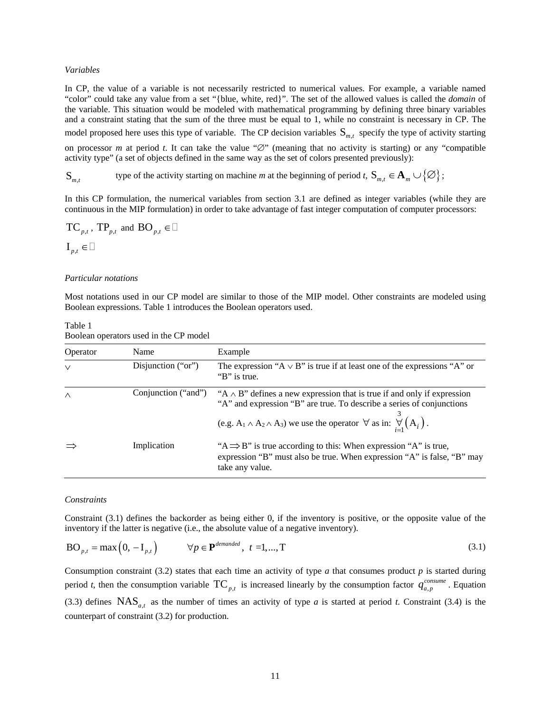#### *Variables*

In CP, the value of a variable is not necessarily restricted to numerical values. For example, a variable named "color" could take any value from a set "{blue, white, red}". The set of the allowed values is called the *domain* of the variable. This situation would be modeled with mathematical programming by defining three binary variables and a constraint stating that the sum of the three must be equal to 1, while no constraint is necessary in CP. The model proposed here uses this type of variable. The CP decision variables  $S_{m,t}$  specify the type of activity starting on processor *m* at period *t*. It can take the value "∅" (meaning that no activity is starting) or any "compatible activity type" (a set of objects defined in the same way as the set of colors presented previously):

S<sub>*m,t*</sub> type of the activity starting on machine *m* at the beginning of period *t*,  $S_{m,t} \in A_m \cup \{\emptyset\}$ ;

In this CP formulation, the numerical variables from section 3.1 are defined as integer variables (while they are continuous in the MIP formulation) in order to take advantage of fast integer computation of computer processors:

$$
TC_{p,t}
$$
,  $TP_{p,t}$  and  $BO_{p,t} \in \Box$   
 $I_{p,t} \in \Box$ 

#### *Particular notations*

Most notations used in our CP model are similar to those of the MIP model. Other constraints are modeled using Boolean expressions. Table 1 introduces the Boolean operators used.

| Operator | Name               | Example                                                                                                                                                                                                                                                                            |
|----------|--------------------|------------------------------------------------------------------------------------------------------------------------------------------------------------------------------------------------------------------------------------------------------------------------------------|
| $\vee$   | Disjunction ("or") | The expression " $A \vee B$ " is true if at least one of the expressions "A" or<br>"B" is true.                                                                                                                                                                                    |
| $\wedge$ |                    | Conjunction ("and") "A $\land$ B" defines a new expression that is true if and only if expression<br>"A" and expression "B" are true. To describe a series of conjunctions<br>(e.g. $A_1 \wedge A_2 \wedge A_3$ ) we use the operator $\forall$ as in: $\bigvee_{i=1}^{n} (A_i)$ . |
|          | Implication        | "A $\Rightarrow$ B" is true according to this: When expression "A" is true,<br>expression "B" must also be true. When expression "A" is false, "B" may<br>take any value.                                                                                                          |

Table 1 Boolean operators used in the CP model

#### *Constraints*

Constraint (3.1) defines the backorder as being either 0, if the inventory is positive, or the opposite value of the inventory if the latter is negative (i.e., the absolute value of a negative inventory).

$$
BO_{p,t} = \max(0, -I_{p,t}) \qquad \forall p \in \mathbf{P}^{demanded}, \ t = 1,...,T
$$
\n(3.1)

Consumption constraint (3.2) states that each time an activity of type  $\alpha$  that consumes product  $p$  is started during period *t*, then the consumption variable  $TC_{p,t}$  is increased linearly by the consumption factor  $q_{a,p}^{comm}$ . Equation (3.3) defines  $NAS_{at}$  as the number of times an activity of type *a* is started at period *t*. Constraint (3.4) is the counterpart of constraint (3.2) for production.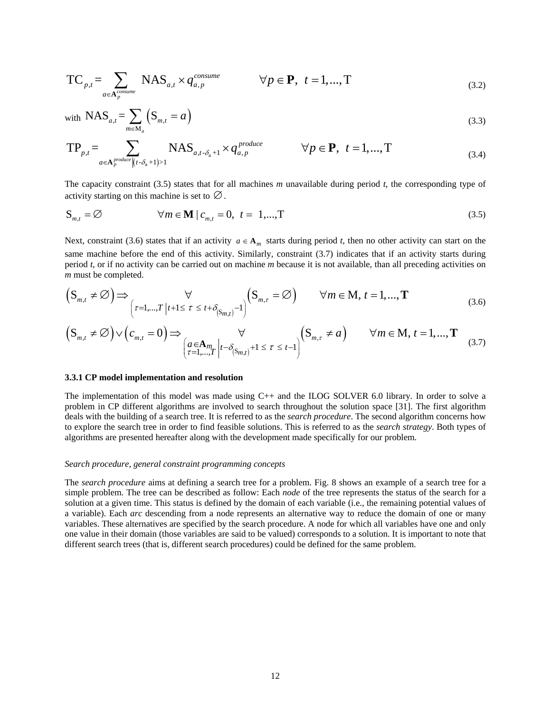$$
TC_{p,t} = \sum_{a \in \mathbf{A}_{p}^{\text{consume}}} \text{NAS}_{a,t} \times q_{a,p}^{\text{consume}} \qquad \forall p \in \mathbf{P}, \ t = 1,...,T
$$
\n(3.2)

with 
$$
\text{NAS}_{a,t} = \sum_{m \in M_a} \left( \mathbf{S}_{m,t} = a \right)
$$
 (3.3)

$$
TP_{p,t} = \sum_{a \in A_p^{produce} \mid (t - \delta_a + 1) > 1} \text{NAS}_{a,t - \delta_a + 1} \times q_{a,p}^{produce} \qquad \forall p \in \mathbf{P}, \ t = 1, ..., T \tag{3.4}
$$

The capacity constraint (3.5) states that for all machines *m* unavailable during period *t*, the corresponding type of activity starting on this machine is set to  $\varnothing$ .

$$
S_{m,t} = \varnothing \qquad \qquad \forall m \in \mathbf{M} \mid c_{m,t} = 0, \ t = 1,...,T \qquad (3.5)
$$

Next, constraint (3.6) states that if an activity  $a \in A_m$  starts during period *t*, then no other activity can start on the same machine before the end of this activity. Similarly, constraint (3.7) indicates that if an activity starts during period *t*, or if no activity can be carried out on machine *m* because it is not available, than all preceding activities on *m* must be completed.

$$
\left(\mathbf{S}_{m,t} \neq \emptyset\right) \Longrightarrow \bigg(\tau=1,\dots,T \left| t+1 \leq \tau \leq t+\delta_{\left(\mathbf{S}_{m,t}\right)}-1 \right) \left(\mathbf{S}_{m,\tau} = \emptyset\right) \qquad \forall m \in \mathbf{M}, t=1,\dots,\mathbf{T} \tag{3.6}
$$

$$
\left(\mathbf{S}_{m,t} \neq \emptyset\right) \vee \left(c_{m,t} = 0\right) \Longrightarrow \bigvee_{\left(\begin{subarray}{c} a \in \mathbf{A}_{m} \\ \tau = 1, \dots, T \end{subarray}\right) \left(r - \delta_{\left(\mathbf{S}_{m,t}\right)} + 1 \leq \tau \leq t-1\right)} \left(\mathbf{S}_{m,\tau} \neq a\right) \qquad \forall m \in \mathbf{M}, t = 1, \dots, \mathbf{T} \tag{3.7}
$$

#### **3.3.1 CP model implementation and resolution**

The implementation of this model was made using C++ and the ILOG SOLVER 6.0 library. In order to solve a problem in CP different algorithms are involved to search throughout the solution space [31]. The first algorithm deals with the building of a search tree. It is referred to as the *search procedure*. The second algorithm concerns how to explore the search tree in order to find feasible solutions. This is referred to as the *search strategy*. Both types of algorithms are presented hereafter along with the development made specifically for our problem.

#### *Search procedure, general constraint programming concepts*

The *search procedure* aims at defining a search tree for a problem. Fig. 8 shows an example of a search tree for a simple problem. The tree can be described as follow: Each *node* of the tree represents the status of the search for a solution at a given time. This status is defined by the domain of each variable (i.e., the remaining potential values of a variable). Each *arc* descending from a node represents an alternative way to reduce the domain of one or many variables. These alternatives are specified by the search procedure. A node for which all variables have one and only one value in their domain (those variables are said to be valued) corresponds to a solution. It is important to note that different search trees (that is, different search procedures) could be defined for the same problem.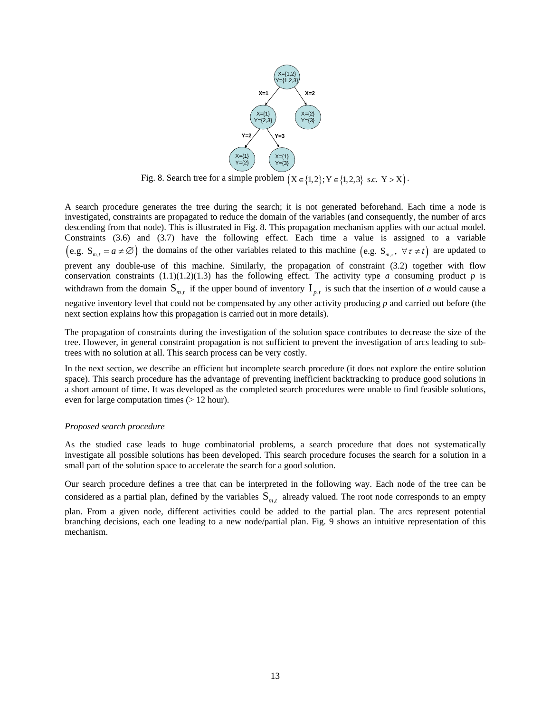

Fig. 8. Search tree for a simple problem  $(X \in \{1,2\}; Y \in \{1,2,3\}$  s.c.  $Y > X$ .

A search procedure generates the tree during the search; it is not generated beforehand. Each time a node is investigated, constraints are propagated to reduce the domain of the variables (and consequently, the number of arcs descending from that node). This is illustrated in Fig. 8. This propagation mechanism applies with our actual model. Constraints (3.6) and (3.7) have the following effect. Each time a value is assigned to a variable  $(e.g. S_{m,t} = a \neq \emptyset)$  the domains of the other variables related to this machine  $(e.g. S_{m,t}, \forall \tau \neq t)$  are updated to prevent any double-use of this machine. Similarly, the propagation of constraint (3.2) together with flow conservation constraints  $(1.1)(1.2)(1.3)$  has the following effect. The activity type *a* consuming product *p* is withdrawn from the domain  $S_{m,t}$  if the upper bound of inventory  $I_{p,t}$  is such that the insertion of *a* would cause a negative inventory level that could not be compensated by any other activity producing *p* and carried out before (the next section explains how this propagation is carried out in more details).

The propagation of constraints during the investigation of the solution space contributes to decrease the size of the tree. However, in general constraint propagation is not sufficient to prevent the investigation of arcs leading to subtrees with no solution at all. This search process can be very costly.

In the next section, we describe an efficient but incomplete search procedure (it does not explore the entire solution space). This search procedure has the advantage of preventing inefficient backtracking to produce good solutions in a short amount of time. It was developed as the completed search procedures were unable to find feasible solutions, even for large computation times (> 12 hour).

## *Proposed search procedure*

As the studied case leads to huge combinatorial problems, a search procedure that does not systematically investigate all possible solutions has been developed. This search procedure focuses the search for a solution in a small part of the solution space to accelerate the search for a good solution.

Our search procedure defines a tree that can be interpreted in the following way. Each node of the tree can be considered as a partial plan, defined by the variables  $S_{m,t}$  already valued. The root node corresponds to an empty

plan. From a given node, different activities could be added to the partial plan. The arcs represent potential branching decisions, each one leading to a new node/partial plan. Fig. 9 shows an intuitive representation of this mechanism.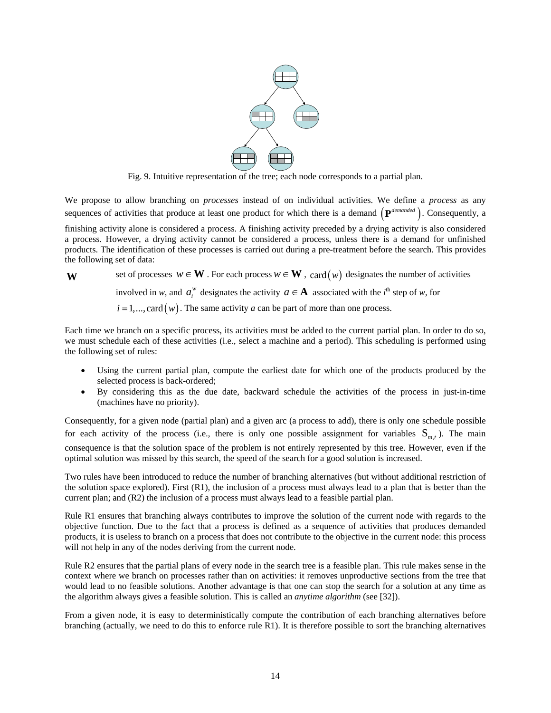

Fig. 9. Intuitive representation of the tree; each node corresponds to a partial plan.

We propose to allow branching on *processes* instead of on individual activities. We define a *process* as any sequences of activities that produce at least one product for which there is a demand  $(\mathbf{P}^{demanded})$ . Consequently, a

finishing activity alone is considered a process. A finishing activity preceded by a drying activity is also considered a process. However, a drying activity cannot be considered a process, unless there is a demand for unfinished products. The identification of these processes is carried out during a pre-treatment before the search. This provides the following set of data:

## **W** set of processes  $w ∈ \mathbf{W}$ . For each process  $w ∈ \mathbf{W}$ , card(*w*) designates the number of activities

involved in *w*, and  $a_i^w$  designates the activity  $a \in \mathbf{A}$  associated with the *i*<sup>th</sup> step of *w*, for

$$
i = 1, \ldots, \text{card}(w)
$$
. The same activity *a* can be part of more than one process.

Each time we branch on a specific process, its activities must be added to the current partial plan. In order to do so, we must schedule each of these activities (i.e., select a machine and a period). This scheduling is performed using the following set of rules:

- Using the current partial plan, compute the earliest date for which one of the products produced by the selected process is back-ordered;
- By considering this as the due date, backward schedule the activities of the process in just-in-time (machines have no priority).

Consequently, for a given node (partial plan) and a given arc (a process to add), there is only one schedule possible for each activity of the process (i.e., there is only one possible assignment for variables  $S_{m,t}$ ). The main consequence is that the solution space of the problem is not entirely represented by this tree. However, even if the optimal solution was missed by this search, the speed of the search for a good solution is increased.

Two rules have been introduced to reduce the number of branching alternatives (but without additional restriction of the solution space explored). First  $(R1)$ , the inclusion of a process must always lead to a plan that is better than the current plan; and (R2) the inclusion of a process must always lead to a feasible partial plan.

Rule R1 ensures that branching always contributes to improve the solution of the current node with regards to the objective function. Due to the fact that a process is defined as a sequence of activities that produces demanded products, it is useless to branch on a process that does not contribute to the objective in the current node: this process will not help in any of the nodes deriving from the current node.

Rule R2 ensures that the partial plans of every node in the search tree is a feasible plan. This rule makes sense in the context where we branch on processes rather than on activities: it removes unproductive sections from the tree that would lead to no feasible solutions. Another advantage is that one can stop the search for a solution at any time as the algorithm always gives a feasible solution. This is called an *anytime algorithm* (see [32]).

From a given node, it is easy to deterministically compute the contribution of each branching alternatives before branching (actually, we need to do this to enforce rule R1). It is therefore possible to sort the branching alternatives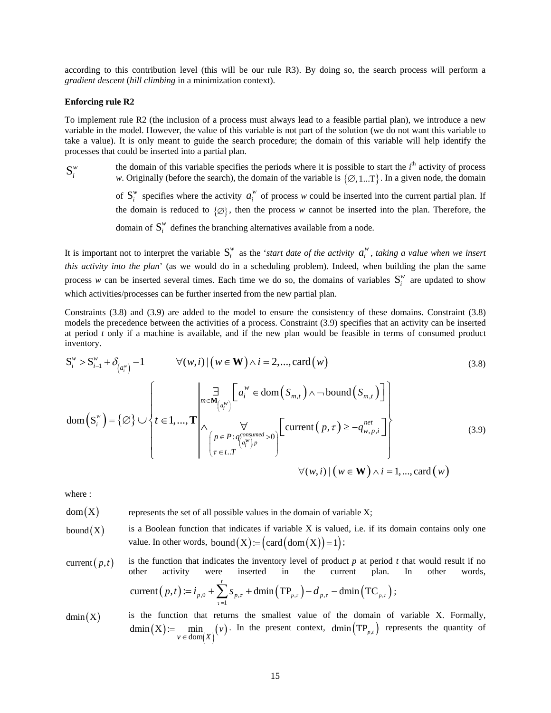according to this contribution level (this will be our rule R3). By doing so, the search process will perform a *gradient descent* (*hill climbing* in a minimization context).

#### **Enforcing rule R2**

To implement rule R2 (the inclusion of a process must always lead to a feasible partial plan), we introduce a new variable in the model. However, the value of this variable is not part of the solution (we do not want this variable to take a value). It is only meant to guide the search procedure; the domain of this variable will help identify the processes that could be inserted into a partial plan.

 $S_i^w$ the domain of this variable specifies the periods where it is possible to start the  $i<sup>th</sup>$  activity of process *w*. Originally (before the search), the domain of the variable is  $\{\emptyset, 1, \dots T\}$ . In a given node, the domain of  $S_i^w$  specifies where the activity  $a_i^w$  of process w could be inserted into the current partial plan. If the domain is reduced to  $\{\emptyset\}$ , then the process *w* cannot be inserted into the plan. Therefore, the domain of  $S_i^w$  defines the branching alternatives available from a node.

It is important not to interpret the variable  $S_i^w$  as the *'start date of the activity*  $a_i^w$ , *taking a value when we insert this activity into the plan*' (as we would do in a scheduling problem). Indeed, when building the plan the same process *w* can be inserted several times. Each time we do so, the domains of variables  $S_i^w$  are updated to show which activities/processes can be further inserted from the new partial plan.

Constraints (3.8) and (3.9) are added to the model to ensure the consistency of these domains. Constraint (3.8) models the precedence between the activities of a process. Constraint (3.9) specifies that an activity can be inserted at period *t* only if a machine is available, and if the new plan would be feasible in terms of consumed product inventory.

$$
S_i^{\mathbf{w}} > S_{i-1}^{\mathbf{w}} + \delta_{(a_i^{\mathbf{w}})} - 1 \qquad \forall (\mathbf{w}, i) \mid (\mathbf{w} \in \mathbf{W}) \land i = 2, ..., \text{card}(\mathbf{w})
$$
(3.8)  

$$
\text{dom}(S_i^{\mathbf{w}}) = \{ \emptyset \} \cup \left\{ t \in 1, ..., \mathbf{T} \middle| \bigwedge_{\substack{m \in \mathbf{M}_{(a_i^{\mathbf{w}})} \\ r \in t \dots T}} \left[ a_i^{\mathbf{w}} \in \text{dom}(S_{m,t}) \land \neg \text{bound}(S_{m,t}) \right] \middle| \bigwedge_{\substack{\tau \in 1, \dots, \tau \\ \tau \in t \dots T}} \left[ a_i^{\mathbf{w}} \in \text{dom}(S_{m,t}) \land \neg \text{bound}(S_{m,t}) \right] \middle| \bigwedge_{\tau \in t \dots T} \left[ a_i^{\text{constant}} \in \mathbf{M} \land \tau \in \mathbf{M} \land \tau \in \mathbf{M} \land \tau \in \mathbf{M} \land \tau \in \mathbf{M} \land \tau \in \mathbf{M} \land \tau \in \mathbf{M} \land \tau \in \mathbf{M} \land \tau \in \mathbf{M} \land \tau \in \mathbf{M} \land \tau \in \mathbf{M} \land \tau \in \mathbf{M} \land \tau \in \mathbf{M} \land \tau \in \mathbf{M} \land \tau \in \mathbf{M} \land \tau \in \mathbf{M} \land \tau \in \mathbf{M} \land \tau \in \mathbf{M} \land \tau \in \mathbf{M} \land \tau \in \mathbf{M} \land \tau \in \mathbf{M} \land \tau \in \mathbf{M} \land \tau \in \mathbf{M} \land \tau \in \mathbf{M} \land \tau \in \mathbf{M} \land \tau \in \mathbf{M} \land \tau \in \mathbf{M} \land \tau \in \mathbf{M} \land \tau \in \mathbf{M} \land \tau \in \mathbf{M} \land \tau \in \mathbf{M} \land \tau \in \mathbf{M} \land \tau \in \mathbf{M} \land \tau \in \mathbf{M} \land \tau \in \mathbf{M} \land \tau \in \mathbf{M} \land \tau
$$

where :

 $dom(X)$  represents the set of all possible values in the domain of variable X;

- bound  $(X)$  is a Boolean function that indicates if variable X is valued, i.e. if its domain contains only one value. In other words, bound  $(X) := (\text{card}(\text{dom}(X)) = 1)$ ;
- current  $(p, t)$  is the function that indicates the inventory level of product  $p$  at period  $t$  that would result if no other activity were inserted in the current plan. In other words, other activity were inserted in the current plan. In other words,  $(p,t) = i_{p,0} + \sum s_{p,\tau} + \text{dmin} (TP_{p,\tau}) - d_{p,\tau} - \text{dmin} (TC_{p,\tau})$ 1 current  $(p, t) \coloneqq i_{p,0} + \sum s_{p,\tau} + \dim(\text{TP}_{p,\tau}) - d_{p,\tau} - \dim(\text{TC}_{p,\tau})$ *t*  $p(t) := i_{p,0} + \sum s_{p,\tau} + \text{dmin}(\text{TP}_{p,\tau}) - d_{p,\tau} - \text{dmin}(\text{TC}_{p,\tau})$ =  $i_{p,0}$  +  $\sum_{\tau=1} s_{p,\tau}$  + dmin  $(\text{TP}_{p,\tau}) - d_{p,\tau}$  – dmin  $(\text{TC}_{p,\tau})$ ;
- $dmin(X)$  is the function that returns the smallest value of the domain of variable X. Formally,  $\rm(X)$  $\dim(X) := \min_{v \in \text{dom}(X)} (v)$  $=\min_{v \in \text{dom}(X)} (v)$ . In the present context, dmin  $(\text{TP}_{p,t})$  represents the quantity of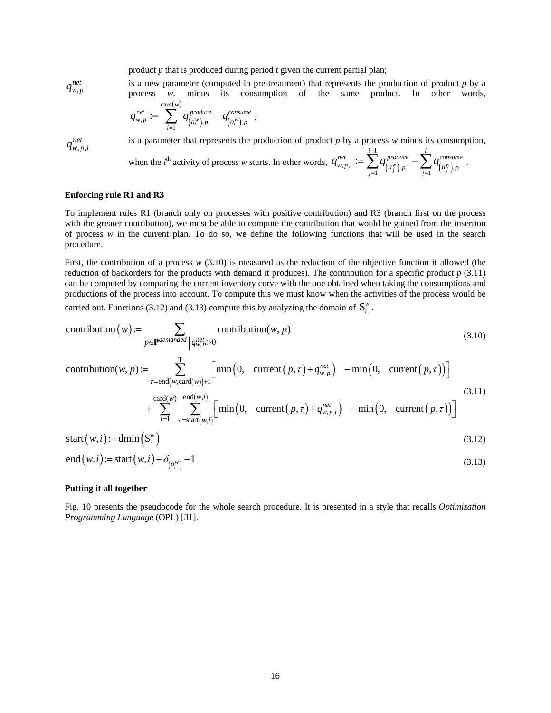product *p* that is produced during period *t* given the current partial plan;

, *net*

*q*<sub>w,p</sub><sup>net</sup> is a new parameter (computed in pre-treatment) that represents the production of product *p* by a process *w*, minus its consumption of the same product. In other words, 
$$
card(w)
$$

$$
q_{w,p}^{net} := \sum_{i=1}^{2} q_{(a_i^w),p}^{produce} - q_{(a_i^w),p}^{cosume} ;
$$

 $, p,$ *net*

is a parameter that represents the production of product  $p$  by a process  $w$  minus its consumption,

when the *i*<sup>th</sup> activity of process *w* starts. In other words, 
$$
q_{w,p,i}^{net} := \sum_{j=1}^{i-1} q_{\left(a_j^w\right),p}^{produce} - \sum_{j=1}^{i} q_{\left(a_j^w\right),p}^{concume}
$$
.

#### **Enforcing rule R1 and R3**

To implement rules R1 (branch only on processes with positive contribution) and R3 (branch first on the process with the greater contribution), we must be able to compute the contribution that would be gained from the insertion of process *w* in the current plan. To do so, we define the following functions that will be used in the search procedure.

First, the contribution of a process *w* (3.10) is measured as the reduction of the objective function it allowed (the reduction of backorders for the products with demand it produces). The contribution for a specific product *p* (3.11) can be computed by comparing the current inventory curve with the one obtained when taking the consumptions and productions of the process into account. To compute this we must know when the activities of the process would be carried out. Functions (3.12) and (3.13) compute this by analyzing the domain of  $S_i^{\nu}$ .

contribution(w):  
\n
$$
\sum_{p \in \mathbf{P} \text{ demanded}} \text{contribution}(w, p) \tag{3.10}
$$

contribution(*w*, *p*) := 
$$
\sum_{\tau = \text{end}(w, \text{card}(w)) + 1}^{\text{T}} \left[ \min\left(0, \text{ current}\left(p, \tau\right) + q_{w, p}^{net}\right) - \min\left(0, \text{ current}\left(p, \tau\right)\right) \right]
$$
\n
$$
\text{card}(w) \quad \text{end}(w, i) \tag{3.11}
$$

+ 
$$
\sum_{i=1}^{\text{Cauch}(w)} \sum_{\tau = \text{start}(w,i)}^{\text{enct}(w,i)} \left[ \min\left(0, \text{ current}\left(p, \tau\right) + q_{w,p,i}^{net}\right) - \min\left(0, \text{ current}\left(p, \tau\right)\right) \right]
$$

$$
start(w, i) := \dim(S_i^w)
$$
\n(3.12)

$$
end(w,i) := start(w,i) + \delta_{(a_i^w)} - 1
$$
\n(3.13)

#### **Putting it all together**

Fig. 10 presents the pseudocode for the whole search procedure. It is presented in a style that recalls *Optimization Programming Language* (OPL) [31].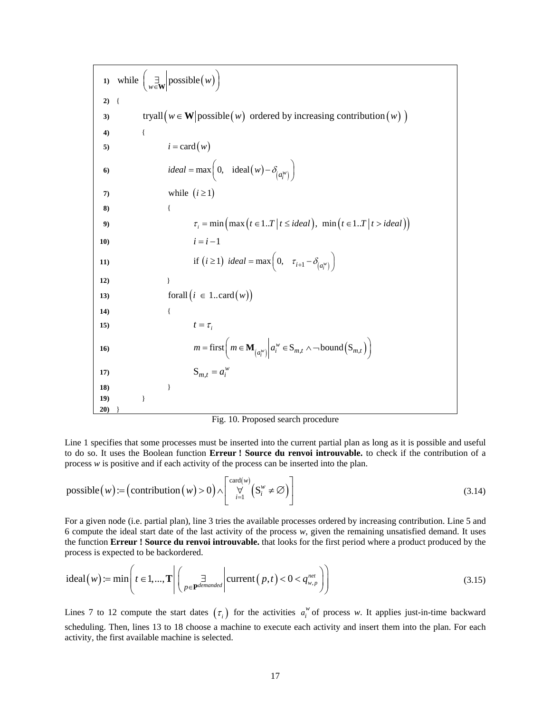**1**) while  $\begin{pmatrix} \exists \psi \in \mathbf{W} \end{pmatrix}$  possible  $(w)$ **2)** { **3 tryall**  $(w \in \mathbf{W} | \text{possible}(w) \text{ ordered by increasing contribution}(w))$ **4)** { 5)  $i = \text{card}(w)$ **6**  $\qquad \qquad ideal = \max\left(0, \quad \text{ideal}(w) - \delta_{\left(a_i^{\mathcal{W}}\right)}\right)$ **7**) while  $(i \geq 1)$ **8)** { **9 i**  $\tau_i = \min\left(\max(t \in 1..T | t \leq ideal)\right), \min\left(t \in 1..T | t > ideal\right)\right)$ **10**)  $i = i - 1$ **11**) **if**  $(i \ge 1)$  *ideal* = max $\left(0, \tau_{i+1} - \delta_{(a_i^w)}\right)$ **12)** } **13**) **forall**  $(i \in 1..\text{card}(w))$ **14)** { **15**)  $t = \tau_i$ **16**)  $m = \text{first}\left(m \in \mathbf{M}_{a_i^w}\middle| a_i^w \in \mathbf{S}_{m,t} \land \neg \text{bound}\left(\mathbf{S}_{m,t}\right)\right)$ **17**)  $S_{m,t} = a_i^w$ **18) 19) 20)**  } } }

Fig. 10. Proposed search procedure

Line 1 specifies that some processes must be inserted into the current partial plan as long as it is possible and useful to do so. It uses the Boolean function **Erreur ! Source du renvoi introuvable.** to check if the contribution of a process *w* is positive and if each activity of the process can be inserted into the plan.

possible(w) := (contribution(w) > 0) 
$$
\wedge
$$
  $\begin{bmatrix} card(w) \\ \forall \\ i=1 \end{bmatrix}$   $(S_i^w \neq \emptyset)$  (3.14)

For a given node (i.e. partial plan), line 3 tries the available processes ordered by increasing contribution. Line 5 and 6 compute the ideal start date of the last activity of the process *w,* given the remaining unsatisfied demand. It uses the function **Erreur ! Source du renvoi introuvable.** that looks for the first period where a product produced by the process is expected to be backordered.

ideal(w) := min
$$
\left(t \in 1, ..., T\right| \left(\frac{\exists}{p \in \mathbf{P}^{demanded}} \middle| \text{current}(p, t) < 0 < q_{w, p}^{net}\right)
$$
 (3.15)

Lines 7 to 12 compute the start dates  $(\tau_i)$  for the activities  $a_i^w$  of process *w*. It applies just-in-time backward scheduling. Then, lines 13 to 18 choose a machine to execute each activity and insert them into the plan. For each activity, the first available machine is selected.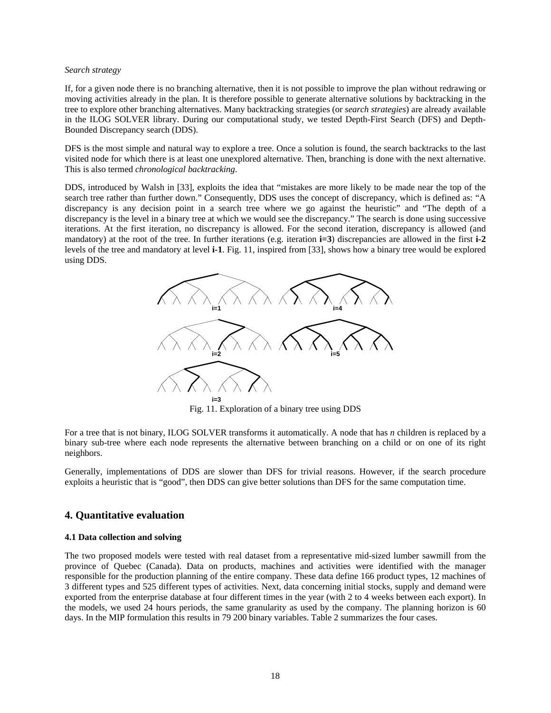#### *Search strategy*

If, for a given node there is no branching alternative, then it is not possible to improve the plan without redrawing or moving activities already in the plan. It is therefore possible to generate alternative solutions by backtracking in the tree to explore other branching alternatives. Many backtracking strategies (or *search strategies*) are already available in the ILOG SOLVER library. During our computational study, we tested Depth-First Search (DFS) and Depth-Bounded Discrepancy search (DDS).

DFS is the most simple and natural way to explore a tree. Once a solution is found, the search backtracks to the last visited node for which there is at least one unexplored alternative. Then, branching is done with the next alternative. This is also termed *chronological backtracking*.

DDS, introduced by Walsh in [33], exploits the idea that "mistakes are more likely to be made near the top of the search tree rather than further down." Consequently, DDS uses the concept of discrepancy, which is defined as: "A discrepancy is any decision point in a search tree where we go against the heuristic" and "The depth of a discrepancy is the level in a binary tree at which we would see the discrepancy." The search is done using successive iterations. At the first iteration, no discrepancy is allowed. For the second iteration, discrepancy is allowed (and mandatory) at the root of the tree. In further iterations (e.g. iteration **i=3**) discrepancies are allowed in the first **i-2** levels of the tree and mandatory at level **i-1**. Fig. 11, inspired from [33], shows how a binary tree would be explored using DDS.



Fig. 11. Exploration of a binary tree using DDS

For a tree that is not binary, ILOG SOLVER transforms it automatically. A node that has *n* children is replaced by a binary sub-tree where each node represents the alternative between branching on a child or on one of its right neighbors.

Generally, implementations of DDS are slower than DFS for trivial reasons. However, if the search procedure exploits a heuristic that is "good", then DDS can give better solutions than DFS for the same computation time.

## **4. Quantitative evaluation**

## **4.1 Data collection and solving**

The two proposed models were tested with real dataset from a representative mid-sized lumber sawmill from the province of Quebec (Canada). Data on products, machines and activities were identified with the manager responsible for the production planning of the entire company. These data define 166 product types, 12 machines of 3 different types and 525 different types of activities. Next, data concerning initial stocks, supply and demand were exported from the enterprise database at four different times in the year (with 2 to 4 weeks between each export). In the models, we used 24 hours periods, the same granularity as used by the company. The planning horizon is 60 days. In the MIP formulation this results in 79 200 binary variables. Table 2 summarizes the four cases.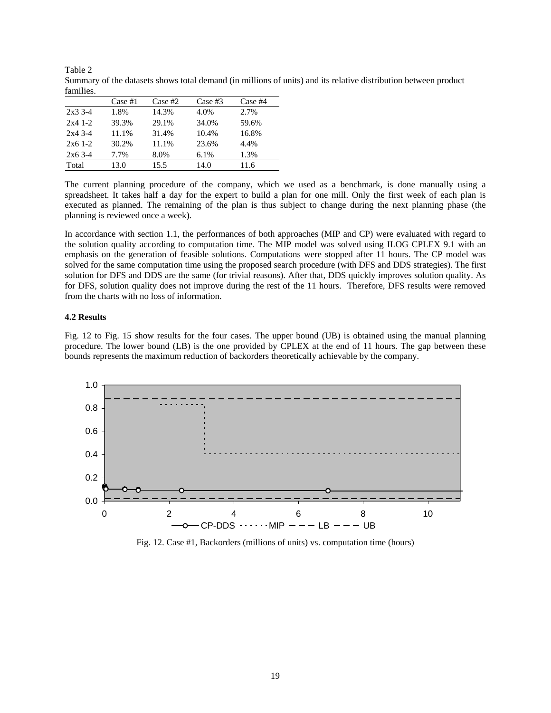| танниех.    |         |            |            |            |
|-------------|---------|------------|------------|------------|
|             | Case #1 | $Case \#2$ | $Case \#3$ | $Case \#4$ |
| $2x3.3 - 4$ | 1.8%    | 14.3%      | 4.0%       | $2.7\%$    |
| $2x41-.2$   | 39.3%   | 29.1%      | 34.0%      | 59.6%      |
| $2x43--4$   | 11.1%   | 31.4%      | 10.4%      | 16.8%      |
| $2x61--2$   | 30.2%   | 11.1%      | 23.6%      | 4.4%       |
| $2x63-4$    | 7.7%    | 8.0%       | $6.1\%$    | 1.3%       |
| Total       | 13.0    | 15.5       | 14.0       | 11.6       |

Table 2 Summary of the datasets shows total demand (in millions of units) and its relative distribution between product families.

The current planning procedure of the company, which we used as a benchmark, is done manually using a spreadsheet. It takes half a day for the expert to build a plan for one mill. Only the first week of each plan is executed as planned. The remaining of the plan is thus subject to change during the next planning phase (the planning is reviewed once a week).

In accordance with section 1.1, the performances of both approaches (MIP and CP) were evaluated with regard to the solution quality according to computation time. The MIP model was solved using ILOG CPLEX 9.1 with an emphasis on the generation of feasible solutions. Computations were stopped after 11 hours. The CP model was solved for the same computation time using the proposed search procedure (with DFS and DDS strategies). The first solution for DFS and DDS are the same (for trivial reasons). After that, DDS quickly improves solution quality. As for DFS, solution quality does not improve during the rest of the 11 hours. Therefore, DFS results were removed from the charts with no loss of information.

## **4.2 Results**

Fig. 12 to Fig. 15 show results for the four cases. The upper bound (UB) is obtained using the manual planning procedure. The lower bound (LB) is the one provided by CPLEX at the end of 11 hours. The gap between these bounds represents the maximum reduction of backorders theoretically achievable by the company.



Fig. 12. Case #1, Backorders (millions of units) vs. computation time (hours)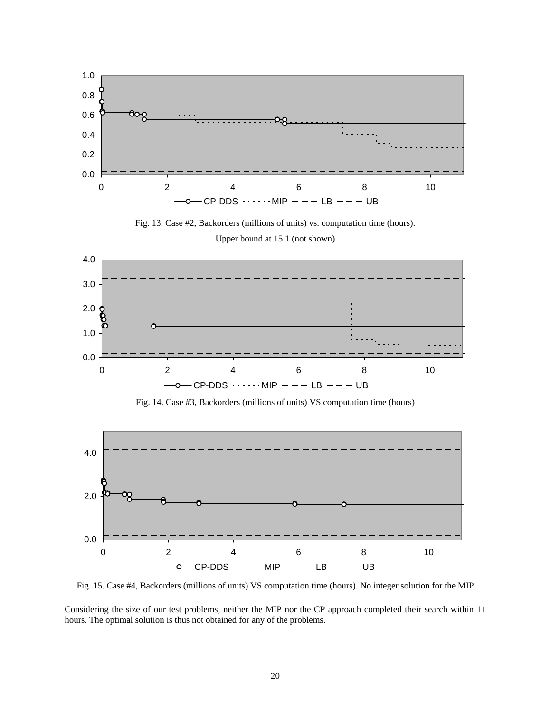

Fig. 13. Case #2, Backorders (millions of units) vs. computation time (hours).

Upper bound at 15.1 (not shown)



Fig. 14. Case #3, Backorders (millions of units) VS computation time (hours)



Fig. 15. Case #4, Backorders (millions of units) VS computation time (hours). No integer solution for the MIP

Considering the size of our test problems, neither the MIP nor the CP approach completed their search within 11 hours. The optimal solution is thus not obtained for any of the problems.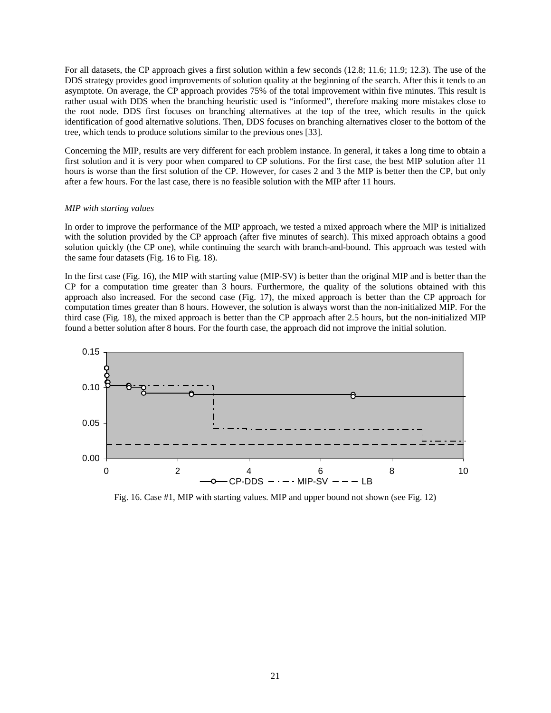For all datasets, the CP approach gives a first solution within a few seconds (12.8; 11.6; 11.9; 12.3). The use of the DDS strategy provides good improvements of solution quality at the beginning of the search. After this it tends to an asymptote. On average, the CP approach provides 75% of the total improvement within five minutes. This result is rather usual with DDS when the branching heuristic used is "informed", therefore making more mistakes close to the root node. DDS first focuses on branching alternatives at the top of the tree, which results in the quick identification of good alternative solutions. Then, DDS focuses on branching alternatives closer to the bottom of the tree, which tends to produce solutions similar to the previous ones [33].

Concerning the MIP, results are very different for each problem instance. In general, it takes a long time to obtain a first solution and it is very poor when compared to CP solutions. For the first case, the best MIP solution after 11 hours is worse than the first solution of the CP. However, for cases 2 and 3 the MIP is better then the CP, but only after a few hours. For the last case, there is no feasible solution with the MIP after 11 hours.

#### *MIP with starting values*

In order to improve the performance of the MIP approach, we tested a mixed approach where the MIP is initialized with the solution provided by the CP approach (after five minutes of search). This mixed approach obtains a good solution quickly (the CP one), while continuing the search with branch-and-bound. This approach was tested with the same four datasets (Fig. 16 to Fig. 18).

In the first case (Fig. 16), the MIP with starting value (MIP-SV) is better than the original MIP and is better than the CP for a computation time greater than 3 hours. Furthermore, the quality of the solutions obtained with this approach also increased. For the second case (Fig. 17), the mixed approach is better than the CP approach for computation times greater than 8 hours. However, the solution is always worst than the non-initialized MIP. For the third case (Fig. 18), the mixed approach is better than the CP approach after 2.5 hours, but the non-initialized MIP found a better solution after 8 hours. For the fourth case, the approach did not improve the initial solution.



Fig. 16. Case #1, MIP with starting values. MIP and upper bound not shown (see Fig. 12)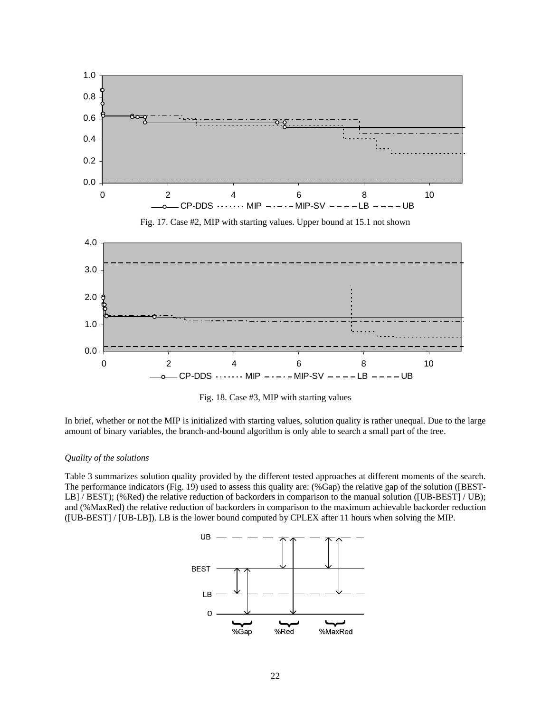

Fig. 18. Case #3, MIP with starting values

In brief, whether or not the MIP is initialized with starting values, solution quality is rather unequal. Due to the large amount of binary variables, the branch-and-bound algorithm is only able to search a small part of the tree.

#### *Quality of the solutions*

Table 3 summarizes solution quality provided by the different tested approaches at different moments of the search. The performance indicators (Fig. 19) used to assess this quality are: (%Gap) the relative gap of the solution ([BEST-LB] / BEST); (%Red) the relative reduction of backorders in comparison to the manual solution ([UB-BEST] / UB); and (%MaxRed) the relative reduction of backorders in comparison to the maximum achievable backorder reduction ([UB-BEST] / [UB-LB]). LB is the lower bound computed by CPLEX after 11 hours when solving the MIP.

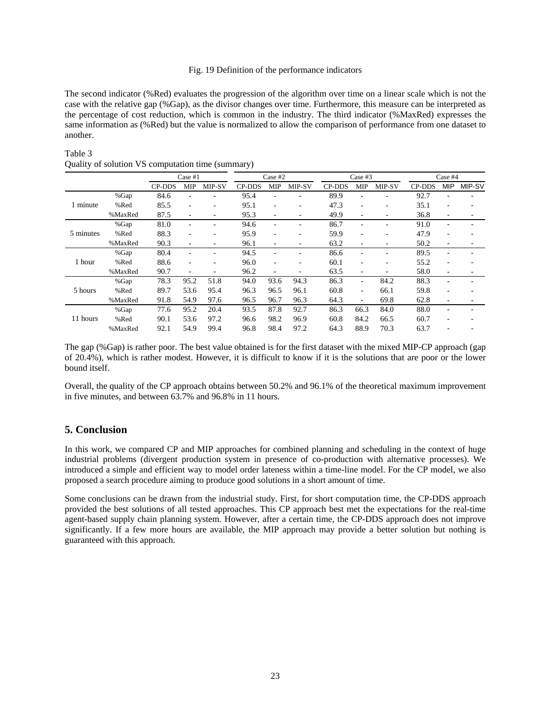## Fig. 19 Definition of the performance indicators

The second indicator (%Red) evaluates the progression of the algorithm over time on a linear scale which is not the case with the relative gap (%Gap), as the divisor changes over time. Furthermore, this measure can be interpreted as the percentage of cost reduction, which is common in the industry. The third indicator (%MaxRed) expresses the same information as (%Red) but the value is normalized to allow the comparison of performance from one dataset to another.

## Table 3

|           |         | Case $#1$     |                          | Case $#2$                |               | Case $#3$  |        |               | Case $#4$  |        |               |                          |        |
|-----------|---------|---------------|--------------------------|--------------------------|---------------|------------|--------|---------------|------------|--------|---------------|--------------------------|--------|
|           |         | <b>CP-DDS</b> | <b>MIP</b>               | MIP-SV                   | <b>CP-DDS</b> | <b>MIP</b> | MIP-SV | <b>CP-DDS</b> | <b>MIP</b> | MIP-SV | <b>CP-DDS</b> | <b>MIP</b>               | MIP-SV |
| 1 minute  | %Gap    | 84.6          |                          |                          | 95.4          |            |        | 89.9          |            |        | 92.7          |                          |        |
|           | %Red    | 85.5          | ٠                        |                          | 95.1          | ۰          |        | 47.3          |            |        | 35.1          |                          |        |
|           | %MaxRed | 87.5          | ٠                        |                          | 95.3          | ۰          |        | 49.9          |            |        | 36.8          | $\overline{\phantom{0}}$ |        |
| 5 minutes | %Gap    | 81.0          | ٠                        |                          | 94.6          | ٠          |        | 86.7          |            |        | 91.0          | $\overline{\phantom{0}}$ |        |
|           | %Red    | 88.3          | $\overline{\phantom{a}}$ |                          | 95.9          | ٠          |        | 59.9          |            |        | 47.9          | $\blacksquare$           |        |
|           | %MaxRed | 90.3          | ٠                        |                          | 96.1          | ٠          |        | 63.2          |            |        | 50.2          | $\blacksquare$           |        |
| 1 hour    | %Gap    | 80.4          | ۰                        |                          | 94.5          |            |        | 86.6          |            |        | 89.5          | $\blacksquare$           |        |
|           | %Red    | 88.6          | ٠                        | $\overline{\phantom{0}}$ | 96.0          | ٠          |        | 60.1          |            | ٠      | 55.2          | $\overline{\phantom{0}}$ |        |
|           | %MaxRed | 90.7          | $\overline{\phantom{a}}$ |                          | 96.2          |            |        | 63.5          |            |        | 58.0          | $\overline{\phantom{0}}$ |        |
|           | %Gap    | 78.3          | 95.2                     | 51.8                     | 94.0          | 93.6       | 94.3   | 86.3          |            | 84.2   | 88.3          |                          |        |
| 5 hours   | %Red    | 89.7          | 53.6                     | 95.4                     | 96.3          | 96.5       | 96.1   | 60.8          |            | 66.1   | 59.8          |                          |        |
|           | %MaxRed | 91.8          | 54.9                     | 97.6                     | 96.5          | 96.7       | 96.3   | 64.3          |            | 69.8   | 62.8          | $\overline{\phantom{0}}$ |        |
| 11 hours  | %Gap    | 77.6          | 95.2                     | 20.4                     | 93.5          | 87.8       | 92.7   | 86.3          | 66.3       | 84.0   | 88.0          | $\overline{\phantom{0}}$ |        |
|           | %Red    | 90.1          | 53.6                     | 97.2                     | 96.6          | 98.2       | 96.9   | 60.8          | 84.2       | 66.5   | 60.7          | $\overline{\phantom{0}}$ |        |
|           | %MaxRed | 92.1          | 54.9                     | 99.4                     | 96.8          | 98.4       | 97.2   | 64.3          | 88.9       | 70.3   | 63.7          |                          |        |

Quality of solution VS computation time (summary)

The gap (%Gap) is rather poor. The best value obtained is for the first dataset with the mixed MIP-CP approach (gap of 20.4%), which is rather modest. However, it is difficult to know if it is the solutions that are poor or the lower bound itself.

Overall, the quality of the CP approach obtains between 50.2% and 96.1% of the theoretical maximum improvement in five minutes, and between 63.7% and 96.8% in 11 hours.

## **5. Conclusion**

In this work, we compared CP and MIP approaches for combined planning and scheduling in the context of huge industrial problems (divergent production system in presence of co-production with alternative processes). We introduced a simple and efficient way to model order lateness within a time-line model. For the CP model, we also proposed a search procedure aiming to produce good solutions in a short amount of time.

Some conclusions can be drawn from the industrial study. First, for short computation time, the CP-DDS approach provided the best solutions of all tested approaches. This CP approach best met the expectations for the real-time agent-based supply chain planning system. However, after a certain time, the CP-DDS approach does not improve significantly. If a few more hours are available, the MIP approach may provide a better solution but nothing is guaranteed with this approach.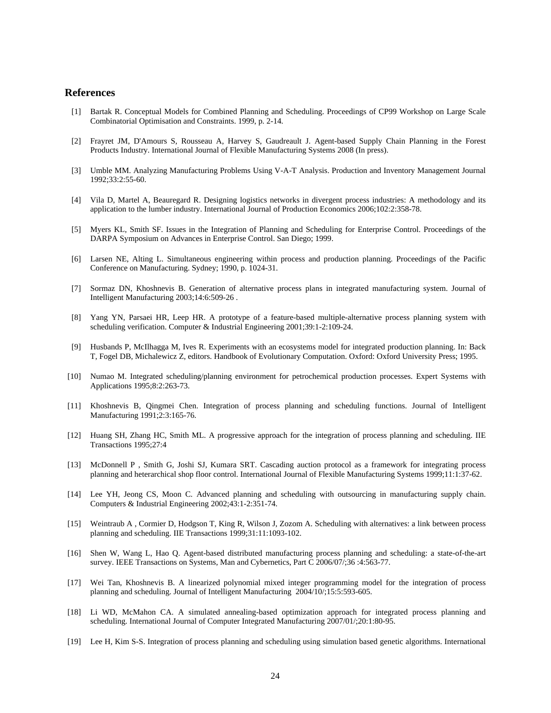## **References**

- [1] Bartak R. Conceptual Models for Combined Planning and Scheduling. Proceedings of CP99 Workshop on Large Scale Combinatorial Optimisation and Constraints. 1999, p. 2-14.
- [2] Frayret JM, D'Amours S, Rousseau A, Harvey S, Gaudreault J. Agent-based Supply Chain Planning in the Forest Products Industry. International Journal of Flexible Manufacturing Systems 2008 (In press).
- [3] Umble MM. Analyzing Manufacturing Problems Using V-A-T Analysis. Production and Inventory Management Journal 1992;33:2:55-60.
- [4] Vila D, Martel A, Beauregard R. Designing logistics networks in divergent process industries: A methodology and its application to the lumber industry. International Journal of Production Economics 2006;102:2:358-78.
- [5] Myers KL, Smith SF. Issues in the Integration of Planning and Scheduling for Enterprise Control. Proceedings of the DARPA Symposium on Advances in Enterprise Control. San Diego; 1999.
- [6] Larsen NE, Alting L. Simultaneous engineering within process and production planning. Proceedings of the Pacific Conference on Manufacturing. Sydney; 1990, p. 1024-31.
- [7] Sormaz DN, Khoshnevis B. Generation of alternative process plans in integrated manufacturing system. Journal of Intelligent Manufacturing 2003;14:6:509-26 .
- [8] Yang YN, Parsaei HR, Leep HR. A prototype of a feature-based multiple-alternative process planning system with scheduling verification. Computer & Industrial Engineering 2001;39:1-2:109-24.
- [9] Husbands P, McIlhagga M, Ives R. Experiments with an ecosystems model for integrated production planning. In: Back T, Fogel DB, Michalewicz Z, editors. Handbook of Evolutionary Computation. Oxford: Oxford University Press; 1995.
- [10] Numao M. Integrated scheduling/planning environment for petrochemical production processes. Expert Systems with Applications 1995;8:2:263-73.
- [11] Khoshnevis B, Qingmei Chen. Integration of process planning and scheduling functions. Journal of Intelligent Manufacturing 1991;2:3:165-76.
- [12] Huang SH, Zhang HC, Smith ML. A progressive approach for the integration of process planning and scheduling. IIE Transactions 1995;27:4
- [13] McDonnell P , Smith G, Joshi SJ, Kumara SRT. Cascading auction protocol as a framework for integrating process planning and heterarchical shop floor control. International Journal of Flexible Manufacturing Systems 1999;11:1:37-62.
- [14] Lee YH, Jeong CS, Moon C. Advanced planning and scheduling with outsourcing in manufacturing supply chain. Computers & Industrial Engineering 2002;43:1-2:351-74.
- [15] Weintraub A , Cormier D, Hodgson T, King R, Wilson J, Zozom A. Scheduling with alternatives: a link between process planning and scheduling. IIE Transactions 1999;31:11:1093-102.
- [16] Shen W, Wang L, Hao Q. Agent-based distributed manufacturing process planning and scheduling: a state-of-the-art survey. IEEE Transactions on Systems, Man and Cybernetics, Part C 2006/07/;36 :4:563-77.
- [17] Wei Tan, Khoshnevis B. A linearized polynomial mixed integer programming model for the integration of process planning and scheduling. Journal of Intelligent Manufacturing 2004/10/;15:5:593-605.
- [18] Li WD, McMahon CA. A simulated annealing-based optimization approach for integrated process planning and scheduling. International Journal of Computer Integrated Manufacturing 2007/01/;20:1:80-95.
- [19] Lee H, Kim S-S. Integration of process planning and scheduling using simulation based genetic algorithms. International